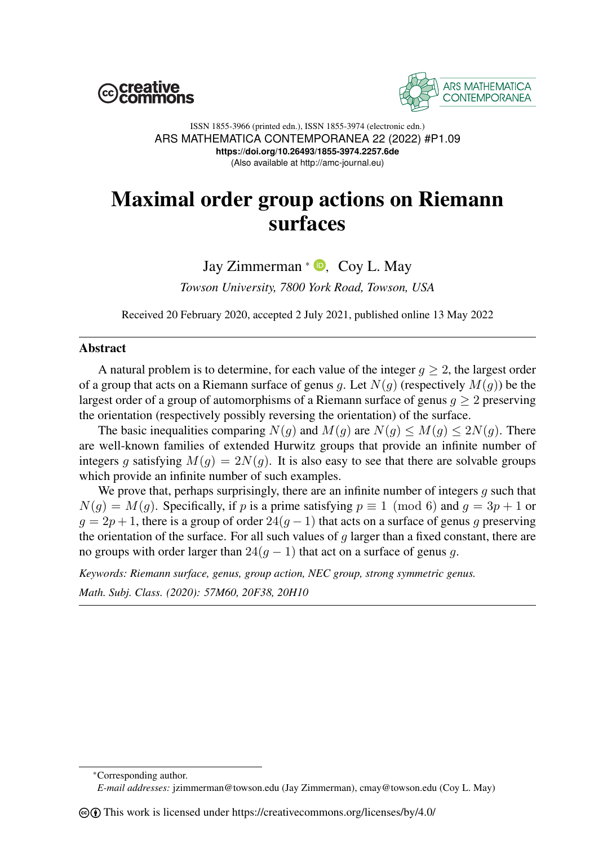



ISSN 1855-3966 (printed edn.), ISSN 1855-3974 (electronic edn.) ARS MATHEMATICA CONTEMPORANEA 22 (2022) #P1.09 **https://doi.org/10.26493/1855-3974.2257.6de** (Also available at http://amc-journal.eu)

# Maximal order group actions on Riemann surfaces

## Jay Zimmerman  $*$   $\bullet$ [,](https://orcid.org/0000-0003-2749-0057) Coy L. May

*Towson University, 7800 York Road, Towson, USA*

Received 20 February 2020, accepted 2 July 2021, published online 13 May 2022

### Abstract

A natural problem is to determine, for each value of the integer  $q \geq 2$ , the largest order of a group that acts on a Riemann surface of genus g. Let  $N(q)$  (respectively  $M(q)$ ) be the largest order of a group of automorphisms of a Riemann surface of genus  $q > 2$  preserving the orientation (respectively possibly reversing the orientation) of the surface.

The basic inequalities comparing  $N(q)$  and  $M(q)$  are  $N(q) \leq M(q) \leq 2N(q)$ . There are well-known families of extended Hurwitz groups that provide an infinite number of integers g satisfying  $M(g) = 2N(g)$ . It is also easy to see that there are solvable groups which provide an infinite number of such examples.

We prove that, perhaps surprisingly, there are an infinite number of integers  $g$  such that  $N(g) = M(g)$ . Specifically, if p is a prime satisfying  $p \equiv 1 \pmod{6}$  and  $q = 3p + 1$  or  $g = 2p + 1$ , there is a group of order  $24(g - 1)$  that acts on a surface of genus g preserving the orientation of the surface. For all such values of  $q$  larger than a fixed constant, there are no groups with order larger than  $24(g - 1)$  that act on a surface of genus g.

*Keywords: Riemann surface, genus, group action, NEC group, strong symmetric genus. Math. Subj. Class. (2020): 57M60, 20F38, 20H10*

<sup>\*</sup>Corresponding author.

*E-mail addresses:* jzimmerman@towson.edu (Jay Zimmerman), cmay@towson.edu (Coy L. May)